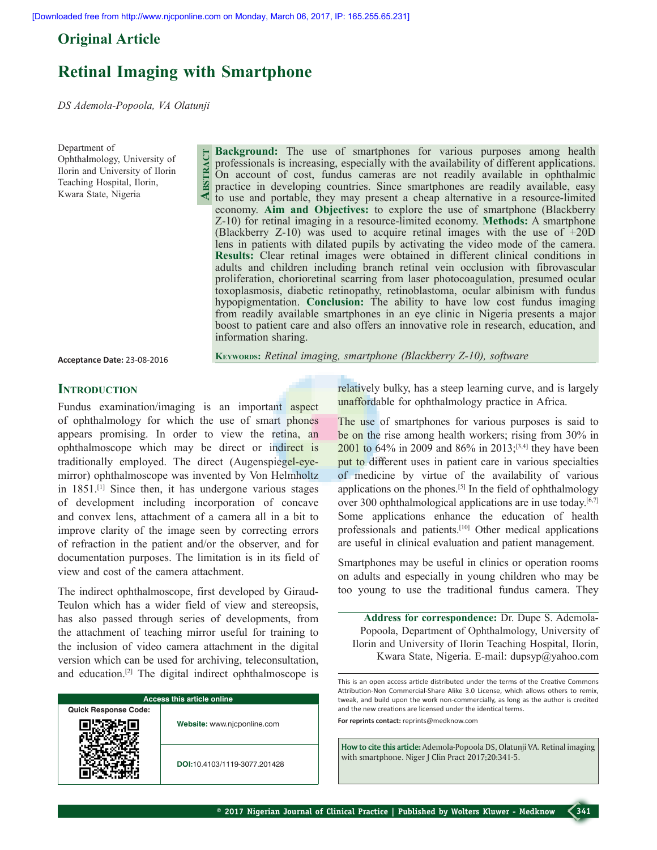## **Original Article**

# **Retinal Imaging with Smartphone**

**Abstract**

*DS Ademola-Popoola, VA Olatunji* 

Department of Ophthalmology, University of Ilorin and University of Ilorin Teaching Hospital, Ilorin, Kwara State, Nigeria

**Background:** The use of smartphones for various purposes among health professionals is increasing, especially with the availability of different applications. On account of cost, fundus cameras are not readily available in ophthalmic practice in developing countries. Since smartphones are readily available, easy to use and portable, they may present a cheap alternative in a resource-limited economy. **Aim and Objectives:** to explore the use of smartphone (Blackberry Z-10) for retinal imaging in a resource-limited economy. **Methods:** A smartphone (Blackberry Z-10) was used to acquire retinal images with the use of +20D lens in patients with dilated pupils by activating the video mode of the camera. **Results:** Clear retinal images were obtained in different clinical conditions in adults and children including branch retinal vein occlusion with fibrovascular proliferation, chorioretinal scarring from laser photocoagulation, presumed ocular toxoplasmosis, diabetic retinopathy, retinoblastoma, ocular albinism with fundus hypopigmentation. **Conclusion:** The ability to have low cost fundus imaging from readily available smartphones in an eye clinic in Nigeria presents a major boost to patient care and also offers an innovative role in research, education, and information sharing.

**Acceptance Date:** 23-08-2016

**Keywords:** *Retinal imaging, smartphone (Blackberry Z-10), software* 

## **INTRODUCTION**

Fundus examination/imaging is an important aspect of ophthalmology for which the use of smart phones appears promising. In order to view the retina, an ophthalmoscope which may be direct or indirect is traditionally employed. The direct (Augenspiegel-eyemirror) ophthalmoscope was invented by Von Helmholtz in 1851.[1] Since then, it has undergone various stages of development including incorporation of concave and convex lens, attachment of a camera all in a bit to improve clarity of the image seen by correcting errors of refraction in the patient and/or the observer, and for documentation purposes. The limitation is in its field of view and cost of the camera attachment.

The indirect ophthalmoscope, first developed by Giraud-Teulon which has a wider field of view and stereopsis, has also passed through series of developments, from the attachment of teaching mirror useful for training to the inclusion of video camera attachment in the digital version which can be used for archiving, teleconsultation, and education.[2] The digital indirect ophthalmoscope is

| <b>Access this article online</b> |                              |  |
|-----------------------------------|------------------------------|--|
| <b>Quick Response Code:</b>       |                              |  |
|                                   | Website: www.njcponline.com  |  |
|                                   | DOI:10.4103/1119-3077.201428 |  |

relatively bulky, has a steep learning curve, and is largely unaffordable for ophthalmology practice in Africa.

The use of smartphones for various purposes is said to be on the rise among health workers; rising from 30% in 2001 to 64% in 2009 and 86% in 2013;[3,4] they have been put to different uses in patient care in various specialties of medicine by virtue of the availability of various applications on the phones.[5] In the field of ophthalmology over 300 ophthalmological applications are in use today.<sup>[6,7]</sup> Some applications enhance the education of health professionals and patients.[10] Other medical applications are useful in clinical evaluation and patient management.

Smartphones may be useful in clinics or operation rooms on adults and especially in young children who may be too young to use the traditional fundus camera. They

**Address for correspondence:** Dr. Dupe S. Ademola-Popoola, Department of Ophthalmology, University of Ilorin and University of Ilorin Teaching Hospital, Ilorin, Kwara State, Nigeria. E-mail: dupsyp@yahoo.com

This is an open access article distributed under the terms of the Creative Commons Attribution-Non Commercial-Share Alike 3.0 License, which allows others to remix, tweak, and build upon the work non-commercially, as long as the author is credited and the new creations are licensed under the identical terms. **For reprints contact:** reprints@medknow.com

**How to cite this article:** Ademola-Popoola DS, Olatunji VA. Retinal imaging with smartphone. Niger J Clin Pract 2017;20:341-5.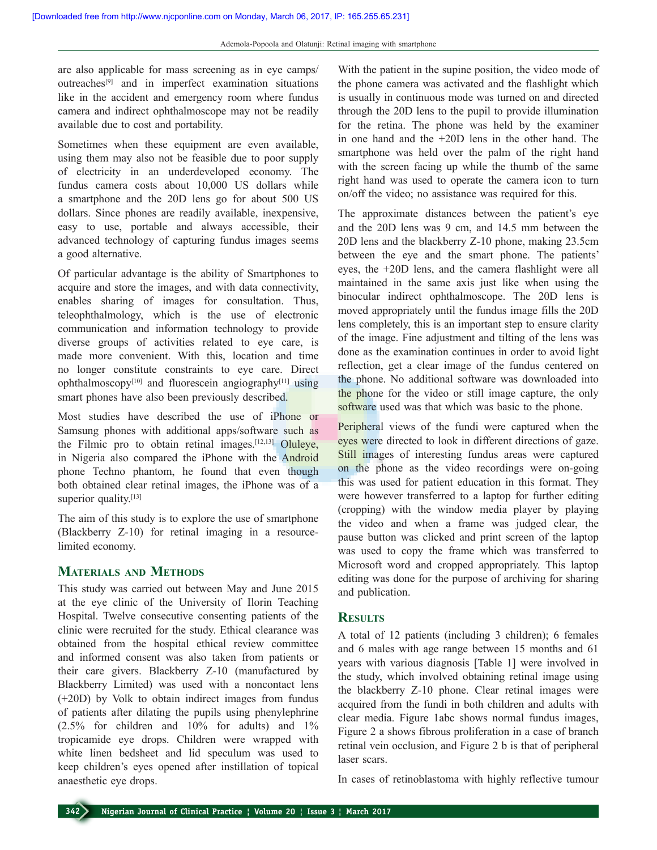are also applicable for mass screening as in eye camps/ outreaches[9] and in imperfect examination situations like in the accident and emergency room where fundus camera and indirect ophthalmoscope may not be readily available due to cost and portability.

Sometimes when these equipment are even available, using them may also not be feasible due to poor supply of electricity in an underdeveloped economy. The fundus camera costs about 10,000 US dollars while a smartphone and the 20D lens go for about 500 US dollars. Since phones are readily available, inexpensive, easy to use, portable and always accessible, their advanced technology of capturing fundus images seems a good alternative.

Of particular advantage is the ability of Smartphones to acquire and store the images, and with data connectivity, enables sharing of images for consultation. Thus, teleophthalmology, which is the use of electronic communication and information technology to provide diverse groups of activities related to eye care, is made more convenient. With this, location and time no longer constitute constraints to eye care. Direct ophthalmoscopy $[10]$  and fluorescein angiography $[11]$  using smart phones have also been previously described.

Most studies have described the use of iPhone or Samsung phones with additional apps/software such as the Filmic pro to obtain retinal images.<sup>[12,13]</sup> Oluleye, in Nigeria also compared the iPhone with the Android phone Techno phantom, he found that even though both obtained clear retinal images, the iPhone was of a superior quality.<sup>[13]</sup>

The aim of this study is to explore the use of smartphone (Blackberry Z-10) for retinal imaging in a resourcelimited economy.

## **Materials and Methods**

This study was carried out between May and June 2015 at the eye clinic of the University of Ilorin Teaching Hospital. Twelve consecutive consenting patients of the clinic were recruited for the study. Ethical clearance was obtained from the hospital ethical review committee and informed consent was also taken from patients or their care givers. Blackberry Z-10 (manufactured by Blackberry Limited) was used with a noncontact lens (+20D) by Volk to obtain indirect images from fundus of patients after dilating the pupils using phenylephrine (2.5% for children and 10% for adults) and 1% tropicamide eye drops. Children were wrapped with white linen bedsheet and lid speculum was used to keep children's eyes opened after instillation of topical anaesthetic eye drops.

With the patient in the supine position, the video mode of the phone camera was activated and the flashlight which is usually in continuous mode was turned on and directed through the 20D lens to the pupil to provide illumination for the retina. The phone was held by the examiner in one hand and the +20D lens in the other hand. The smartphone was held over the palm of the right hand with the screen facing up while the thumb of the same right hand was used to operate the camera icon to turn on/off the video; no assistance was required for this.

The approximate distances between the patient's eye and the 20D lens was 9 cm, and 14.5 mm between the 20D lens and the blackberry Z-10 phone, making 23.5cm between the eye and the smart phone. The patients' eyes, the +20D lens, and the camera flashlight were all maintained in the same axis just like when using the binocular indirect ophthalmoscope. The 20D lens is moved appropriately until the fundus image fills the 20D lens completely, this is an important step to ensure clarity of the image. Fine adjustment and tilting of the lens was done as the examination continues in order to avoid light reflection, get a clear image of the fundus centered on the phone. No additional software was downloaded into the phone for the video or still image capture, the only software used was that which was basic to the phone.

Peripheral views of the fundi were captured when the eyes were directed to look in different directions of gaze. Still images of interesting fundus areas were captured on the phone as the video recordings were on-going this was used for patient education in this format. They were however transferred to a laptop for further editing (cropping) with the window media player by playing the video and when a frame was judged clear, the pause button was clicked and print screen of the laptop was used to copy the frame which was transferred to Microsoft word and cropped appropriately. This laptop editing was done for the purpose of archiving for sharing and publication.

#### **Results**

A total of 12 patients (including 3 children); 6 females and 6 males with age range between 15 months and 61 years with various diagnosis [Table 1] were involved in the study, which involved obtaining retinal image using the blackberry Z-10 phone. Clear retinal images were acquired from the fundi in both children and adults with clear media. Figure 1abc shows normal fundus images, Figure 2 a shows fibrous proliferation in a case of branch retinal vein occlusion, and Figure 2 b is that of peripheral laser scars.

In cases of retinoblastoma with highly reflective tumour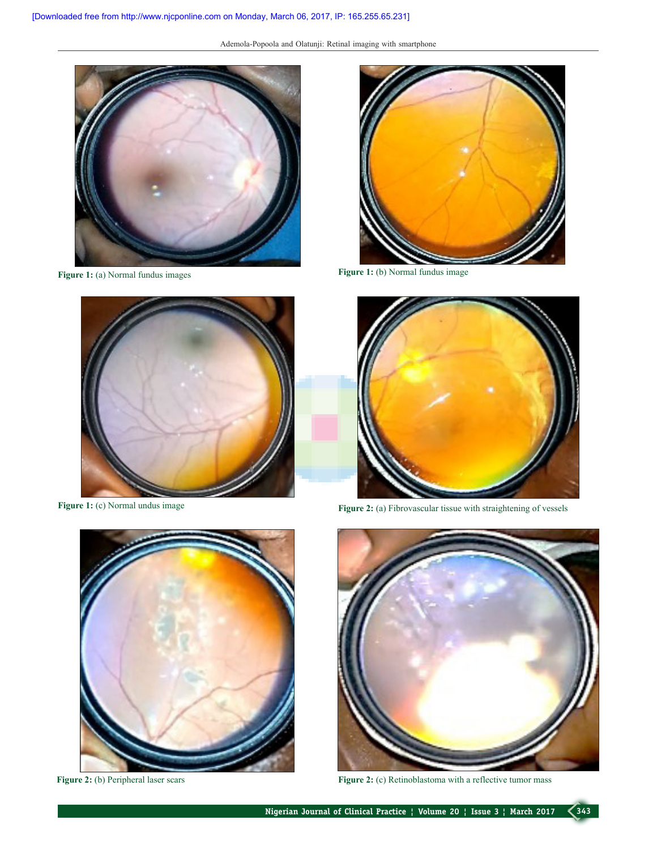Ademola-Popoola and Olatunji: Retinal imaging with smartphone











**Figure 1:** (c) Normal undus image **Figure 2:** (a) Fibrovascular tissue with straightening of vessels



Figure 2: (b) Peripheral laser scars **Figure 2:** (c) Retinoblastoma with a reflective tumor mass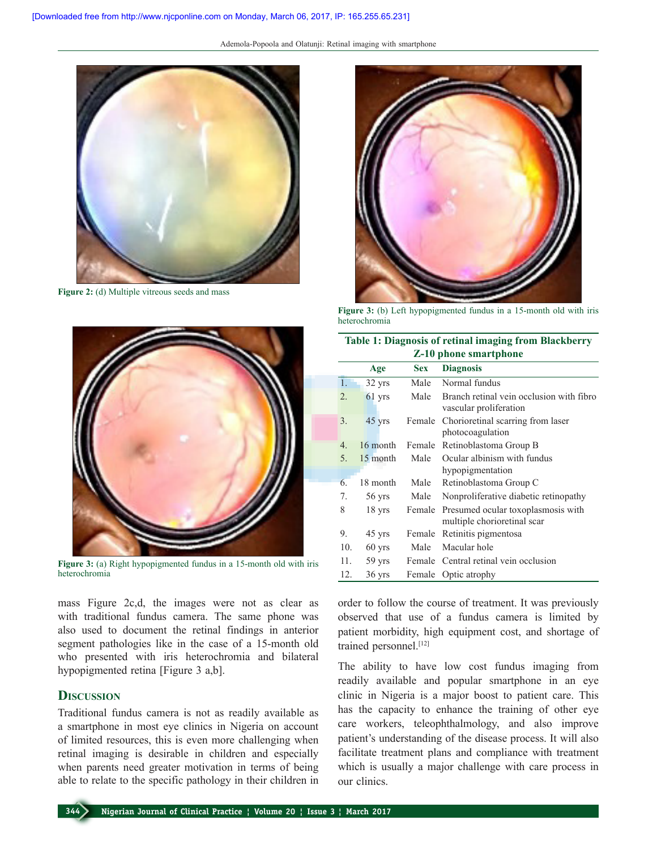Ademola-Popoola and Olatunji: Retinal imaging with smartphone



**Figure 2:** (d) Multiple vitreous seeds and mass



**Figure 3:** (a) Right hypopigmented fundus in a 15-month old with iris heterochromia

mass Figure 2c,d, the images were not as clear as with traditional fundus camera. The same phone was also used to document the retinal findings in anterior segment pathologies like in the case of a 15-month old who presented with iris heterochromia and bilateral hypopigmented retina [Figure 3 a,b].

## **Discussion**

Traditional fundus camera is not as readily available as a smartphone in most eye clinics in Nigeria on account of limited resources, this is even more challenging when retinal imaging is desirable in children and especially when parents need greater motivation in terms of being able to relate to the specific pathology in their children in



**Figure 3:** (b) Left hypopigmented fundus in a 15-month old with iris heterochromia

| <b>Table 1: Diagnosis of retinal imaging from Blackberry</b><br><b>Z-10 phone smartphone</b> |          |            |                                                                    |
|----------------------------------------------------------------------------------------------|----------|------------|--------------------------------------------------------------------|
|                                                                                              | Age      | <b>Sex</b> | <b>Diagnosis</b>                                                   |
| $\mathbf{1}$ .                                                                               | 32 yrs   | Male       | Normal fundus                                                      |
| 2.                                                                                           | $61$ yrs | Male       | Branch retinal vein occlusion with fibro<br>vascular proliferation |
| 3.                                                                                           | 45 yrs   | Female     | Chorioretinal scarring from laser<br>photocoagulation              |
| $\overline{4}$                                                                               | 16 month | Female     | Retinoblastoma Group B                                             |
| 5.                                                                                           | 15 month | Male       | Ocular albinism with fundus<br>hypopigmentation                    |
| 6.                                                                                           | 18 month | Male       | Retinoblastoma Group C                                             |
| 7.                                                                                           | 56 yrs   | Male       | Nonproliferative diabetic retinopathy                              |
| 8                                                                                            | $18$ yrs | Female     | Presumed ocular toxoplasmosis with<br>multiple chorioretinal scar  |
| 9.                                                                                           | 45 yrs   | Female     | Retinitis pigmentosa                                               |
| 10.                                                                                          | $60$ yrs | Male       | Macular hole                                                       |
| 11.                                                                                          | 59 yrs   |            | Female Central retinal vein occlusion                              |
| 12.                                                                                          | $36$ yrs | Female     | Optic atrophy                                                      |

order to follow the course of treatment. It was previously observed that use of a fundus camera is limited by patient morbidity, high equipment cost, and shortage of trained personnel.<sup>[12]</sup>

The ability to have low cost fundus imaging from readily available and popular smartphone in an eye clinic in Nigeria is a major boost to patient care. This has the capacity to enhance the training of other eye care workers, teleophthalmology, and also improve patient's understanding of the disease process. It will also facilitate treatment plans and compliance with treatment which is usually a major challenge with care process in our clinics.